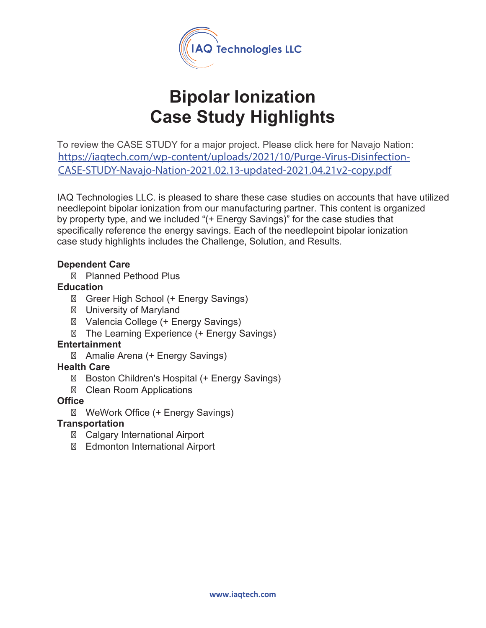

# **Bipolar Ionization Case Study Highlights**

To review the CASE STUDY for a major project. Please click here for Navajo Nation: https://iaqtech.com/wp-content/uploads/2021/10/Purge-Virus-Disinfection-CASE-STUDY-Navajo-Nation-2021.02.13-updated-2021.04.21v2-copy.pdf

IAQ Technologies LLC. is pleased to share these case studies on accounts that have utilized needlepoint bipolar ionization from our manufacturing partner. This content is organized by property type, and we included "(+ Energy Savings)" for the case studies that specifically reference the energy savings. Each of the needlepoint bipolar ionization case study highlights includes the Challenge, Solution, and Results.

#### **Dependent Care**

Planned Pethood Plus

#### **Education**

Greer High School (+ Energy Savings) University of Maryland Valencia College (+ Energy Savings) The Learning Experience (+ Energy Savings)

#### **Entertainment**

Amalie Arena (+ Energy Savings)

#### **Health Care**

Boston Children's Hospital (+ Energy Savings)

Clean Room Applications

#### **Office**

WeWork Office (+ Energy Savings)

#### **Transportation**

Calgary International Airport Edmonton International Airport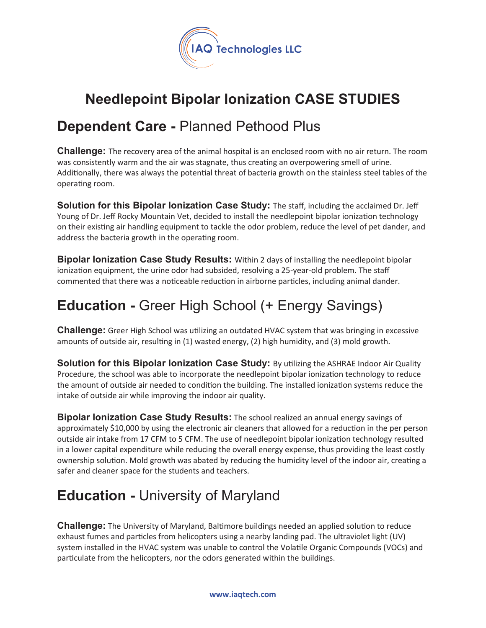

## **Needlepoint Bipolar Ionization CASE STUDIES**

### **Dependent Care -** Planned Pethood Plus

**Challenge:** The recovery area of the animal hospital is an enclosed room with no air return. The room was consistently warm and the air was stagnate, thus creating an overpowering smell of urine. Additionally, there was always the potential threat of bacteria growth on the stainless steel tables of the operating room.

**Solution for this Bipolar Ionization Case Study:** The staff, including the acclaimed Dr. Jeff Young of Dr. Jeff Rocky Mountain Vet, decided to install the needlepoint bipolar ionization technology on their existing air handling equipment to tackle the odor problem, reduce the level of pet dander, and address the bacteria growth in the operating room.

**Bipolar Ionization Case Study Results:** Within 2 days of installing the needlepoint bipolar ionization equipment, the urine odor had subsided, resolving a 25-year-old problem. The staff commented that there was a noticeable reduction in airborne particles, including animal dander.

# **Education -** Greer High School (+ Energy Savings)

**Challenge:** Greer High School was utilizing an outdated HVAC system that was bringing in excessive amounts of outside air, resulting in (1) wasted energy, (2) high humidity, and (3) mold growth.

**Solution for this Bipolar Ionization Case Study:** By u�lizing the ASHRAE Indoor Air Quality Procedure, the school was able to incorporate the needlepoint bipolar ionization technology to reduce the amount of outside air needed to condition the building. The installed ionization systems reduce the intake of outside air while improving the indoor air quality.

**Bipolar Ionization Case Study Results:** The school realized an annual energy savings of approximately \$10,000 by using the electronic air cleaners that allowed for a reduction in the per person outside air intake from 17 CFM to 5 CFM. The use of needlepoint bipolar ionization technology resulted in a lower capital expenditure while reducing the overall energy expense, thus providing the least costly ownership solution. Mold growth was abated by reducing the humidity level of the indoor air, creating a safer and cleaner space for the students and teachers.

### **Education -** University of Maryland

**Challenge:** The University of Maryland, Baltimore buildings needed an applied solution to reduce exhaust fumes and particles from helicopters using a nearby landing pad. The ultraviolet light (UV) system installed in the HVAC system was unable to control the Volatile Organic Compounds (VOCs) and particulate from the helicopters, nor the odors generated within the buildings.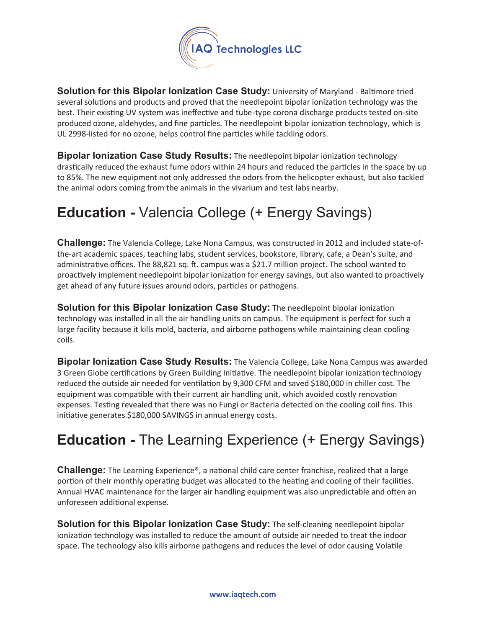

**Solution for this Bipolar lonization Case Study: University of Maryland - Baltimore tried** several solutions and products and proved that the needlepoint bipolar ionization technology was the best. Their existing UV system was ineffective and tube-type corona discharge products tested on-site produced ozone, aldehydes, and fine particles. The needlepoint bipolar ionization technology, which is UL 2998-listed for no ozone, helps control fine particles while tackling odors.

**Bipolar Ionization Case Study Results:** The needlepoint bipolar ionization technology drastically reduced the exhaust fume odors within 24 hours and reduced the particles in the space by up to 85%. The new equipment not only addressed the odors from the helicopter exhaust, but also tackled the animal odors coming from the animals in the vivarium and test labs nearby.

# **Education -** Valencia College (+ Energy Savings)

**Challenge:** The Valencia College, Lake Nona Campus, was constructed in 2012 and included state-ofthe-art academic spaces, teaching labs, student services, bookstore, library, cafe, a Dean's suite, and administrative offices. The 88,821 sq. ft. campus was a \$21.7 million project. The school wanted to proactively implement needlepoint bipolar ionization for energy savings, but also wanted to proactively get ahead of any future issues around odors, particles or pathogens.

**Solution for this Bipolar Ionization Case Study:** The needlepoint bipolar ionization technology was installed in all the air handling units on campus. The equipment is perfect for such a large facility because it kills mold, bacteria, and airborne pathogens while maintaining clean cooling coils.

**Bipolar Ionization Case Study Results:** The Valencia College, Lake Nona Campus was awarded 3 Green Globe certifications by Green Building Initiative. The needlepoint bipolar ionization technology reduced the outside air needed for ventilation by 9,300 CFM and saved \$180,000 in chiller cost. The equipment was compatible with their current air handling unit, which avoided costly renovation expenses. Testing revealed that there was no Fungi or Bacteria detected on the cooling coil fins. This initiative generates \$180,000 SAVINGS in annual energy costs.

# **Education -** The Learning Experience (+ Energy Savings)

**Challenge:** The Learning Experience®, a national child care center franchise, realized that a large portion of their monthly operating budget was allocated to the heating and cooling of their facilities. Annual HVAC maintenance for the larger air handling equipment was also unpredictable and often an unforeseen additional expense.

**Solution for this Bipolar Ionization Case Study:** The self-cleaning needlepoint bipolar ionization technology was installed to reduce the amount of outside air needed to treat the indoor space. The technology also kills airborne pathogens and reduces the level of odor causing Volatile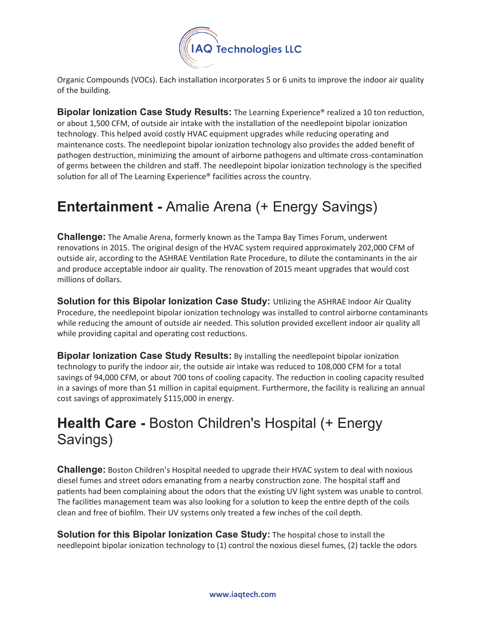

Organic Compounds (VOCs). Each installation incorporates 5 or 6 units to improve the indoor air quality of the building.

**Bipolar Ionization Case Study Results:** The Learning Experience<sup>®</sup> realized a 10 ton reduction, or about 1,500 CFM, of outside air intake with the installation of the needlepoint bipolar ionization technology. This helped avoid costly HVAC equipment upgrades while reducing operating and maintenance costs. The needlepoint bipolar ionization technology also provides the added benefit of pathogen destruction, minimizing the amount of airborne pathogens and ultimate cross-contamination of germs between the children and staff. The needlepoint bipolar ionization technology is the specified solution for all of The Learning Experience® facilities across the country.

### **Entertainment -** Amalie Arena (+ Energy Savings)

**Challenge:** The Amalie Arena, formerly known as the Tampa Bay Times Forum, underwent renovations in 2015. The original design of the HVAC system required approximately 202,000 CFM of outside air, according to the ASHRAE Ventilation Rate Procedure, to dilute the contaminants in the air and produce acceptable indoor air quality. The renovation of 2015 meant upgrades that would cost millions of dollars.

**Solution for this Bipolar Ionization Case Study:** U�lizing the ASHRAE Indoor Air Quality Procedure, the needlepoint bipolar ionization technology was installed to control airborne contaminants while reducing the amount of outside air needed. This solution provided excellent indoor air quality all while providing capital and operating cost reductions.

**Bipolar Ionization Case Study Results:** By installing the needlepoint bipolar ionization technology to purify the indoor air, the outside air intake was reduced to 108,000 CFM for a total savings of 94,000 CFM, or about 700 tons of cooling capacity. The reduction in cooling capacity resulted in a savings of more than \$1 million in capital equipment. Furthermore, the facility is realizing an annual cost savings of approximately \$115,000 in energy.

### **Health Care -** Boston Children's Hospital (+ Energy Savings)

**Challenge:** Boston Children's Hospital needed to upgrade their HVAC system to deal with noxious diesel fumes and street odors emanating from a nearby construction zone. The hospital staff and patients had been complaining about the odors that the existing UV light system was unable to control. The facilities management team was also looking for a solution to keep the entire depth of the coils clean and free of biofilm. Their UV systems only treated a few inches of the coil depth.

**Solution for this Bipolar Ionization Case Study:** The hospital chose to install the needlepoint bipolar ionization technology to (1) control the noxious diesel fumes, (2) tackle the odors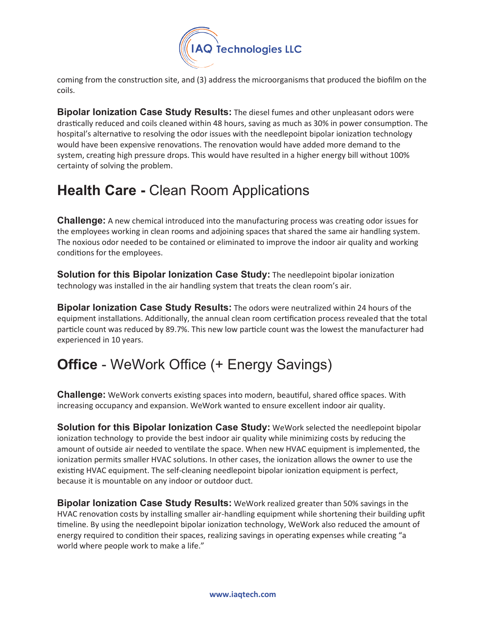

coming from the construction site, and (3) address the microorganisms that produced the biofilm on the coils.

**Bipolar Ionization Case Study Results:** The diesel fumes and other unpleasant odors were drastically reduced and coils cleaned within 48 hours, saving as much as 30% in power consumption. The hospital's alternative to resolving the odor issues with the needlepoint bipolar ionization technology would have been expensive renovations. The renovation would have added more demand to the system, creating high pressure drops. This would have resulted in a higher energy bill without 100% certainty of solving the problem.

### **Health Care -** Clean Room Applications

**Challenge:** A new chemical introduced into the manufacturing process was creating odor issues for the employees working in clean rooms and adjoining spaces that shared the same air handling system. The noxious odor needed to be contained or eliminated to improve the indoor air quality and working conditions for the employees.

**Solution for this Bipolar lonization Case Study:** The needlepoint bipolar ionization technology was installed in the air handling system that treats the clean room's air.

**Bipolar Ionization Case Study Results:** The odors were neutralized within 24 hours of the equipment installations. Additionally, the annual clean room certification process revealed that the total particle count was reduced by 89.7%. This new low particle count was the lowest the manufacturer had experienced in 10 years.

# **Office** - WeWork Office (+ Energy Savings)

**Challenge:** WeWork converts existing spaces into modern, beautiful, shared office spaces. With increasing occupancy and expansion. WeWork wanted to ensure excellent indoor air quality.

**Solution for this Bipolar Ionization Case Study:** WeWork selected the needlepoint bipolar ionization technology to provide the best indoor air quality while minimizing costs by reducing the amount of outside air needed to ventilate the space. When new HVAC equipment is implemented, the ionization permits smaller HVAC solutions. In other cases, the ionization allows the owner to use the existing HVAC equipment. The self-cleaning needlepoint bipolar ionization equipment is perfect, because it is mountable on any indoor or outdoor duct.

**Bipolar Ionization Case Study Results:** WeWork realized greater than 50% savings in the HVAC renovation costs by installing smaller air-handling equipment while shortening their building upfit timeline. By using the needlepoint bipolar ionization technology, WeWork also reduced the amount of energy required to condition their spaces, realizing savings in operating expenses while creating "a world where people work to make a life."